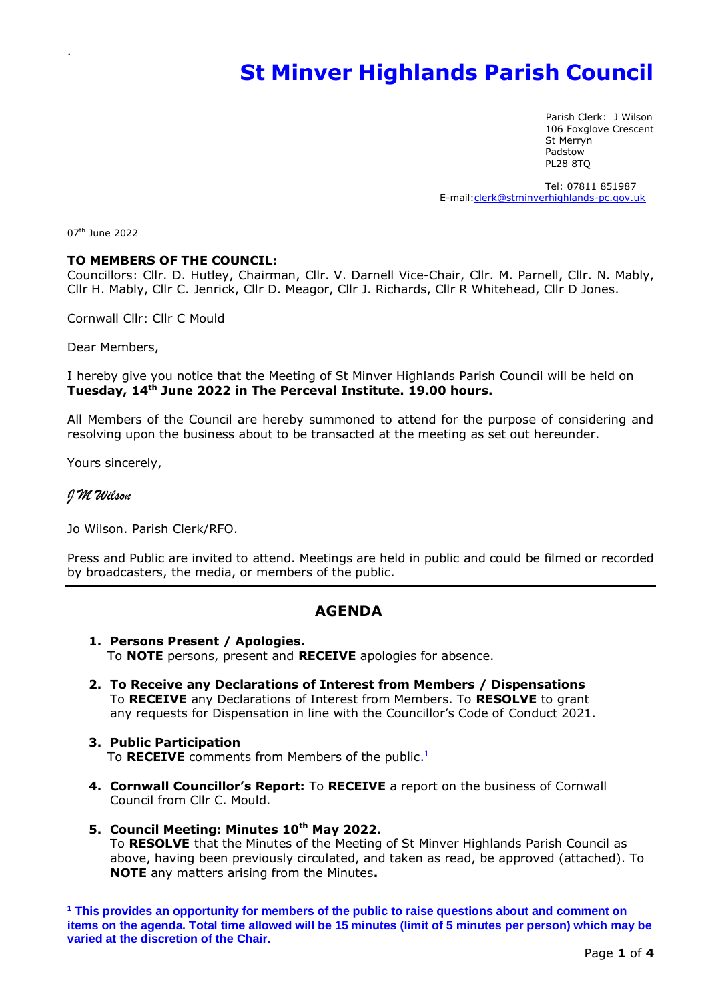# **St Minver Highlands Parish Council**

 Parish Clerk: J Wilson 106 Foxglove Crescent St Merryn Padstow PL28 8TQ

 Tel: 07811 851987 E-mail[:clerk@stminverhighlands-pc.gov.uk](mailto:clerk@stminverhighlands-pc.gov.uk)

07<sup>th</sup> June 2022

.

#### **TO MEMBERS OF THE COUNCIL:**

Councillors: Cllr. D. Hutley, Chairman, Cllr. V. Darnell Vice-Chair, Cllr. M. Parnell, Cllr. N. Mably, Cllr H. Mably, Cllr C. Jenrick, Cllr D. Meagor, Cllr J. Richards, Cllr R Whitehead, Cllr D Jones.

Cornwall Cllr: Cllr C Mould

Dear Members,

I hereby give you notice that the Meeting of St Minver Highlands Parish Council will be held on **Tuesday, 14 th June 2022 in The Perceval Institute. 19.00 hours.**

All Members of the Council are hereby summoned to attend for the purpose of considering and resolving upon the business about to be transacted at the meeting as set out hereunder.

Yours sincerely,

## J M Wilson

Jo Wilson. Parish Clerk/RFO.

Press and Public are invited to attend. Meetings are held in public and could be filmed or recorded by broadcasters, the media, or members of the public.

# **AGENDA**

- **1. Persons Present / Apologies.** To **NOTE** persons, present and **RECEIVE** apologies for absence.
- **2. To Receive any Declarations of Interest from Members / Dispensations** To **RECEIVE** any Declarations of Interest from Members. To **RESOLVE** to grant any requests for Dispensation in line with the Councillor's Code of Conduct 2021.
- **3. Public Participation** To RECEIVE comments from Members of the public.<sup>1</sup>
	- **4. Cornwall Councillor's Report:** To **RECEIVE** a report on the business of Cornwall Council from Cllr C. Mould.
	- **5. Council Meeting: Minutes 10 th May 2022.**  To **RESOLVE** that the Minutes of the Meeting of St Minver Highlands Parish Council as above, having been previously circulated, and taken as read, be approved (attached). To **NOTE** any matters arising from the Minutes**.**

**<sup>1</sup> This provides an opportunity for members of the public to raise questions about and comment on items on the agenda. Total time allowed will be 15 minutes (limit of 5 minutes per person) which may be varied at the discretion of the Chair.**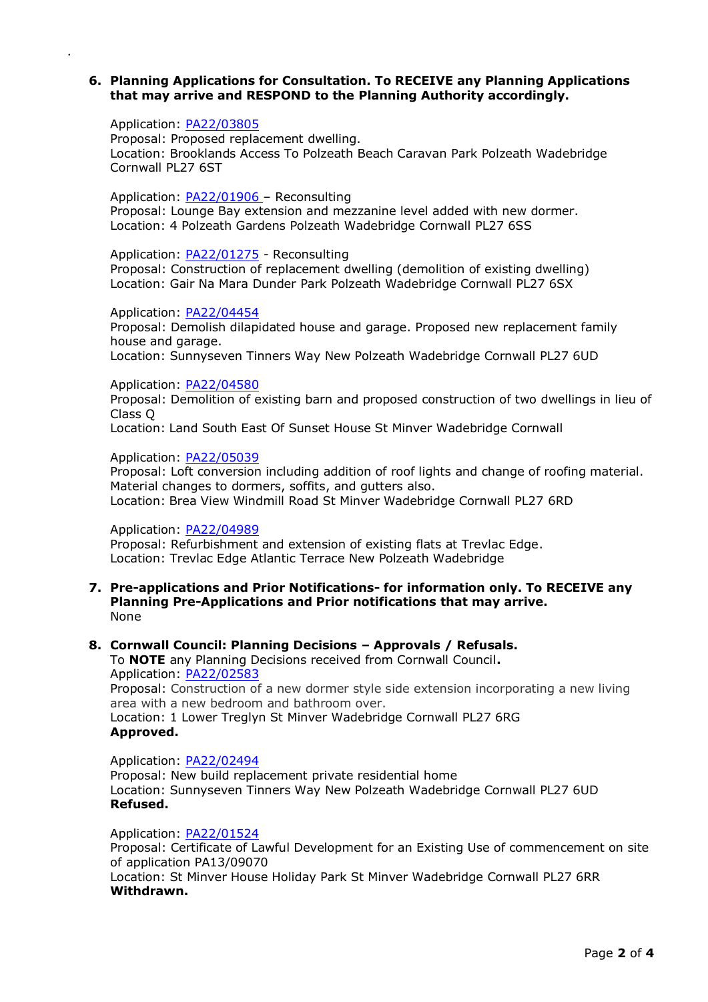## **6. Planning Applications for Consultation. To RECEIVE any Planning Applications that may arrive and RESPOND to the Planning Authority accordingly.**

#### Application: [PA22/03805](https://planning.cornwall.gov.uk/online-applications/applicationDetails.do?activeTab=summary&keyVal=RAMQC1FGN1W00)

.

Proposal: Proposed replacement dwelling. Location: Brooklands Access To Polzeath Beach Caravan Park Polzeath Wadebridge Cornwall PL27 6ST

#### Application: [PA22/01906](https://planning.cornwall.gov.uk/online-applications/applicationDetails.do?activeTab=summary&keyVal=R7R34BFGN4X00) – Reconsulting

Proposal: Lounge Bay extension and mezzanine level added with new dormer. Location: 4 Polzeath Gardens Polzeath Wadebridge Cornwall PL27 6SS

#### Application: [PA22/01275](https://planning.cornwall.gov.uk/online-applications/applicationDetails.do?activeTab=summary&keyVal=R6ZP2LFG0JQ00) - Reconsulting

Proposal: Construction of replacement dwelling (demolition of existing dwelling) Location: Gair Na Mara Dunder Park Polzeath Wadebridge Cornwall PL27 6SX

Application: [PA22/04454](https://planning.cornwall.gov.uk/online-applications/applicationDetails.do?activeTab=summary&keyVal=RBPGVXFGM8C00) Proposal: Demolish dilapidated house and garage. Proposed new replacement family house and garage. Location: Sunnyseven Tinners Way New Polzeath Wadebridge Cornwall PL27 6UD

## Application: [PA22/04580](https://planning.cornwall.gov.uk/online-applications/applicationDetails.do?activeTab=summary&keyVal=RBYVPPFGKPV00)

Proposal: Demolition of existing barn and proposed construction of two dwellings in lieu of Class Q

Location: Land South East Of Sunset House St Minver Wadebridge Cornwall

#### Application: [PA22/05039](https://planning.cornwall.gov.uk/online-applications/applicationDetails.do?activeTab=summary&keyVal=RCJVFLFGIIA00)

Proposal: Loft conversion including addition of roof lights and change of roofing material. Material changes to dormers, soffits, and gutters also. Location: Brea View Windmill Road St Minver Wadebridge Cornwall PL27 6RD

## Application: [PA22/04989](https://planning.cornwall.gov.uk/online-applications/applicationDetails.do?activeTab=summary&keyVal=RCHXYFFGH7N00)

Proposal: Refurbishment and extension of existing flats at Trevlac Edge. Location: Trevlac Edge Atlantic Terrace New Polzeath Wadebridge

### **7. Pre-applications and Prior Notifications- for information only. To RECEIVE any Planning Pre-Applications and Prior notifications that may arrive.** None

## **8. Cornwall Council: Planning Decisions – Approvals / Refusals.**

To **NOTE** any Planning Decisions received from Cornwall Council**.** Application: [PA22/02583](https://planning.cornwall.gov.uk/online-applications/applicationDetails.do?activeTab=summary&keyVal=R8QR7GFGL4U00) Proposal: Construction of a new dormer style side extension incorporating a new living area with a new bedroom and bathroom over. Location: 1 Lower Treglyn St Minver Wadebridge Cornwall PL27 6RG **Approved.**

Application: [PA22/02494](https://planning.cornwall.gov.uk/online-applications/applicationDetails.do?activeTab=summary&keyVal=R8JFCSFGITW00)

Proposal: New build replacement private residential home Location: Sunnyseven Tinners Way New Polzeath Wadebridge Cornwall PL27 6UD **Refused.**

## Application: [PA22/01524](https://planning.cornwall.gov.uk/online-applications/applicationDetails.do?activeTab=summary&keyVal=R7B0PZFGL1M00)

Proposal: Certificate of Lawful Development for an Existing Use of commencement on site of application PA13/09070 Location: St Minver House Holiday Park St Minver Wadebridge Cornwall PL27 6RR **Withdrawn.**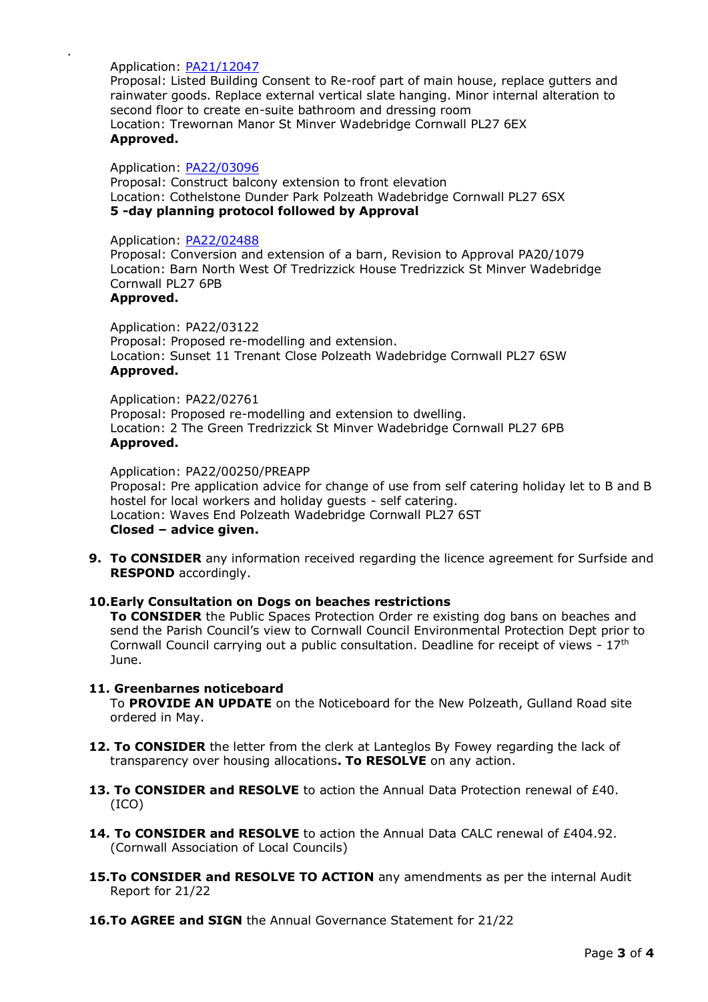Application: [PA21/12047](https://planning.cornwall.gov.uk/online-applications/applicationDetails.do?activeTab=summary&keyVal=R3OXCIFG1YY00)

.

Proposal: Listed Building Consent to Re-roof part of main house, replace gutters and rainwater goods. Replace external vertical slate hanging. Minor internal alteration to second floor to create en-suite bathroom and dressing room Location: Trewornan Manor St Minver Wadebridge Cornwall PL27 6EX **Approved.**

#### Application: [PA22/03096](https://planning.cornwall.gov.uk/online-applications/applicationDetails.do?activeTab=summary&keyVal=R9IGMSFGKRS00)

Proposal: Construct balcony extension to front elevation Location: Cothelstone Dunder Park Polzeath Wadebridge Cornwall PL27 6SX **5 -day planning protocol followed by Approval** 

#### Application: [PA22/02488](https://planning.cornwall.gov.uk/online-applications/applicationDetails.do?activeTab=summary&keyVal=R8JCJOFGIR600)

Proposal: Conversion and extension of a barn, Revision to Approval PA20/1079 Location: Barn North West Of Tredrizzick House Tredrizzick St Minver Wadebridge Cornwall PL27 6PB

## **Approved.**

Application: PA22/03122 Proposal: Proposed re-modelling and extension. Location: Sunset 11 Trenant Close Polzeath Wadebridge Cornwall PL27 6SW **Approved.**

Application: PA22/02761 Proposal: Proposed re-modelling and extension to dwelling. Location: 2 The Green Tredrizzick St Minver Wadebridge Cornwall PL27 6PB **Approved.**

Application: PA22/00250/PREAPP Proposal: Pre application advice for change of use from self catering holiday let to B and B hostel for local workers and holiday guests - self catering. Location: Waves End Polzeath Wadebridge Cornwall PL27 6ST **Closed – advice given.**

**9. To CONSIDER** any information received regarding the licence agreement for Surfside and **RESPOND** accordingly.

#### **10.Early Consultation on Dogs on beaches restrictions**

**To CONSIDER** the Public Spaces Protection Order re existing dog bans on beaches and send the Parish Council's view to Cornwall Council Environmental Protection Dept prior to Cornwall Council carrying out a public consultation. Deadline for receipt of views - 17th June.

## **11. Greenbarnes noticeboard**

To **PROVIDE AN UPDATE** on the Noticeboard for the New Polzeath, Gulland Road site ordered in May.

- **12. To CONSIDER** the letter from the clerk at Lanteglos By Fowey regarding the lack of transparency over housing allocations**. To RESOLVE** on any action.
- **13. To CONSIDER and RESOLVE** to action the Annual Data Protection renewal of £40. (ICO)
- **14. To CONSIDER and RESOLVE** to action the Annual Data CALC renewal of £404.92. (Cornwall Association of Local Councils)
- **15.To CONSIDER and RESOLVE TO ACTION** any amendments as per the internal Audit Report for 21/22
- **16.To AGREE and SIGN** the Annual Governance Statement for 21/22